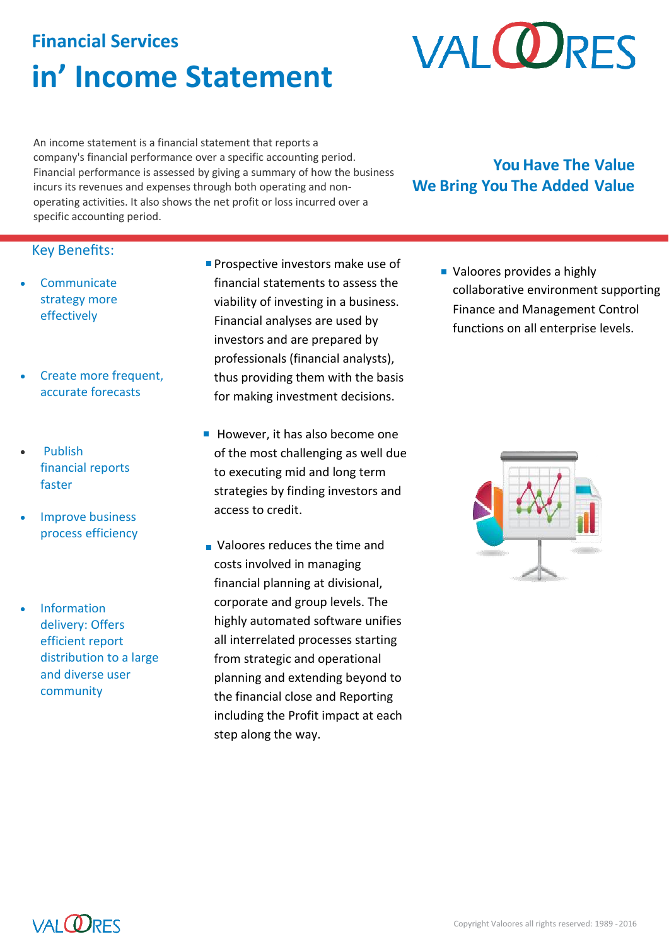# **Financial Services in' Income Statement**

# **VALQ RES**

An income statement is a financial statement that reports a company's [financial performance](http://www.investopedia.com/terms/f/financialperformance.asp) over a specific [accounting period.](http://www.investopedia.com/terms/a/accountingperiod.asp) Financial performance is assessed by giving a summary of how the business incurs its [revenues](http://www.investopedia.com/terms/r/revenue.asp) and expenses through both operating and nonoperating activities. It also shows the net profit or loss incurred over a specific accounting period.

# **You Have The Value We Bring You The Added Value**

## Key Benefits:

- **Communicate** strategy more effectively
- Create more frequent, accurate forecasts
- Publish financial reports faster
- Improve business process efficiency
- Information delivery: Offers efficient report distribution to a large and diverse user community
- **Prospective [investors](https://en.wikipedia.org/wiki/Investor) make use of** financial statements to assess the viability of investing in a business. Financial analyses are used by investors and are prepared by professionals (financial analysts), thus providing them with the basis for making investment decisions.
- $\blacksquare$  However, it has also become one of the most challenging as well due to executing mid and long term strategies by finding investors and access to credit.
- **Valoores reduces the time and** costs involved in managing financial planning at divisional, corporate and group levels. The highly automated software unifies all interrelated processes starting from strategic and operational planning and extending beyond to the financial close and Reporting including the Profit impact at each step along the way.

**Valoores provides a highly** collaborative environment supporting Finance and Management Control functions on all enterprise levels.